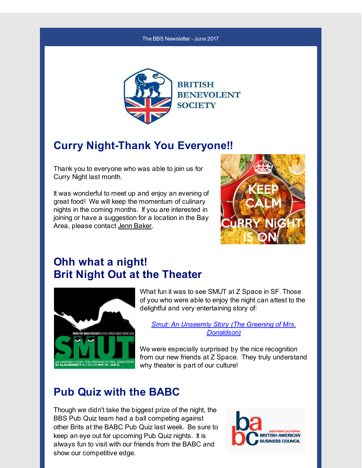#### The BBS Newsletter -June 2017



### **Curry Night-Thank You Everyone!!**

Thank you to everyone who was able to join us for Curry Night last month.

It was wonderful to meet up and enjoy an evening of great food! We will keep the momentum of culinary nights in the coming months. If you are interested in joining or have a suggestion for a location in the Bay Area, please contact Jenn [Baker](mailto:jennifer.baker@bbsofca.org).



# **Ohh what a night! Brit Night Out at the Theater**



What fun it was to see SMUT at Z Space in SF. Those of you who were able to enjoy the night can attest to the delightful and very entertaining story of:

*Smut: An Unseemly Story (The Greening of Mrs. [Donaldson\)](http://r20.rs6.net/tn.jsp?f=001AovytNG4AR7Vsui6UoiFgEvIUneSyS30MI0f3Y_OQo7Ll95AIgQoa4XBz71hBzAye3qgcuLu1lUrk2GiBnQJTZtRmaaiiM0aP08P7HC87mhc5hs2VBS9y-64SAfVUaGiPJbbEgVHpL5BPV2ugQsMSZn2mVgMZkPYXdWY_V5dTa1n_PKzzzah5OE17L7wrL3ZujKAoH4Eqp6gFVPtKaa3ze4zVHbg4o2GM0pS3stzAbEk-eT2QPXlid8DyIMPEf43HfdPB5fFShwhKW-RPOwrGSDBi7wHhurAZConHgsVhnhZzGiAOXYU05RpASIRwO7P5xzKTyq35ts=&c=&ch=)*

We were especially surprised by the nice recognition from our new friends at Z Space. They truly understand why theater is part of our culture!

### **Pub Quiz with the BABC**

Though we didn't take the biggest prize of the night, the BBS Pub Quiz team had a ball competing against other Brits at the BABC Pub Quiz last week. Be sure to keep an eye out for upcoming Pub Quiz nights. It is always fun to visit with our friends from the BABC and show our competitive edge.

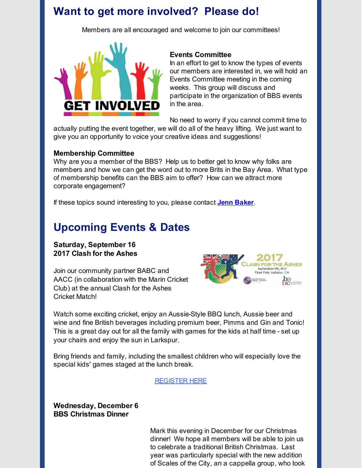### **Want to get more involved? Please do!**

Members are all encouraged and welcome to join our committees!



### **Events Committee**

In an effort to get to know the types of events our members are interested in, we will hold an Events Committee meeting in the coming weeks. This group will discuss and participate in the organization of BBS events in the area.

No need to worry if you cannot commit time to

actually putting the event together, we will do all of the heavy lifting. We just want to give you an opportunity to voice your creative ideas and suggestions!

#### **Membership Committee**

Why are you a member of the BBS? Help us to better get to know why folks are members and how we can get the word out to more Brits in the Bay Area. What type of membership benefits can the BBS aim to offer? How can we attract more corporate engagement?

If these topics sound interesting to you, please contact **Jenn [Baker](mailto:jennifer.baker@bbsofca.org)**.

### **Upcoming Events & Dates**

**Saturday, September 16 2017 Clash for the Ashes**

Join our community partner BABC and AACC (in collaboration with the Marin Cricket Club) at the annual Clash for the Ashes Cricket Match!



Watch some exciting cricket, enjoy an Aussie-Style BBQ lunch, Aussie beer and wine and fine British beverages including premium beer, Pimms and Gin and Tonic! This is a great day out for all the family with games for the kids at half time - set up your chairs and enjoy the sun in Larkspur.

Bring friends and family, including the smallest children who will especially love the special kids' games staged at the lunch break.

#### [REGISTER](http://r20.rs6.net/tn.jsp?f=001AovytNG4AR7Vsui6UoiFgEvIUneSyS30MI0f3Y_OQo7Ll95AIgQoa5MAjcwDw-3O__Uti5Ey9-N6deWa9ia0efZRKw7RC3uClsWG6q2_sSLDtE7TC1t4WGJoHYyAbnQZ0j88va37tZ10PvCNWsOPn_sbE3DC4ujBhqfgHgY3w4a4ttMvTDmdGZqMtL94j0dX1gGqs19wbYm7KdT-HPOjFtr2-1irXUou4pI6-Nq4VkIFFwQw_-4gNUBEh9OO-X1YGsse6dlBECSedkmB7mFtWGFCDM9PrXul-TvPQiW6UdQSyu7RcdOBy8YPPZqGSyOaTGZTjZ5yj9exYpG8_9jIYXNagsNpM8uneKU9tsGLJe0C0uj-gBB07lVmzRCAco04w1YmY1PYhtJOPTo9WIUAa9U2VuTvqlLCIwjz8VjoH9i_gakqBskH_huxsww9fkga&c=&ch=) HERE

**Wednesday, December 6 BBS Christmas Dinner**

> Mark this evening in December for our Christmas dinner! We hope all members will be able to join us to celebrate a traditional British Christmas. Last year was particularly special with the new addition of Scales of the City, an a cappella group, who took